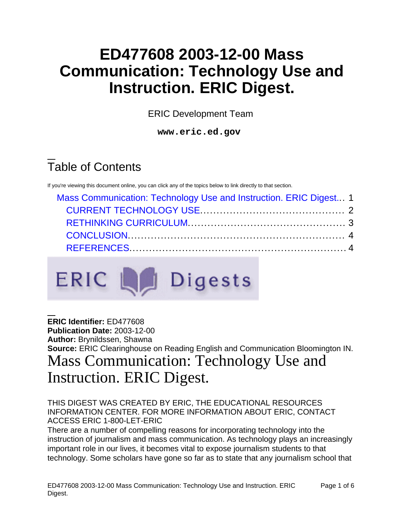# **ED477608 2003-12-00 Mass Communication: Technology Use and Instruction. ERIC Digest.**

ERIC Development Team

**www.eric.ed.gov**

# Table of Contents

If you're viewing this document online, you can click any of the topics below to link directly to that section.

| Mass Communication: Technology Use and Instruction. ERIC Digest 1 |  |
|-------------------------------------------------------------------|--|
|                                                                   |  |
|                                                                   |  |
|                                                                   |  |
|                                                                   |  |



<span id="page-0-0"></span>**ERIC Identifier:** ED477608 **Publication Date:** 2003-12-00 **Author:** Brynildssen, Shawna **Source:** ERIC Clearinghouse on Reading English and Communication Bloomington IN. Mass Communication: Technology Use and Instruction. ERIC Digest.

#### THIS DIGEST WAS CREATED BY ERIC, THE EDUCATIONAL RESOURCES INFORMATION CENTER. FOR MORE INFORMATION ABOUT ERIC, CONTACT ACCESS ERIC 1-800-LET-ERIC

There are a number of compelling reasons for incorporating technology into the instruction of journalism and mass communication. As technology plays an increasingly important role in our lives, it becomes vital to expose journalism students to that technology. Some scholars have gone so far as to state that any journalism school that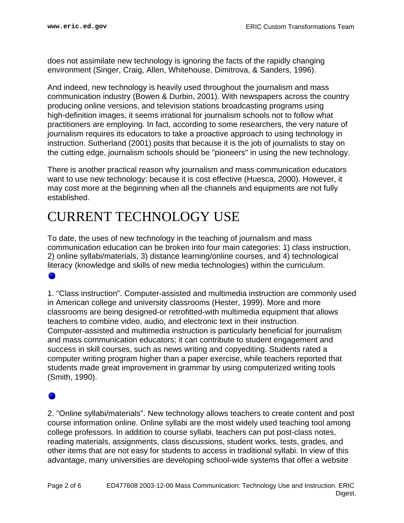does not assimilate new technology is ignoring the facts of the rapidly changing environment (Singer, Craig, Allen, Whitehouse, Dimitrova, & Sanders, 1996).

And indeed, new technology is heavily used throughout the journalism and mass communication industry (Bowen & Durbin, 2001). With newspapers across the country producing online versions, and television stations broadcasting programs using high-definition images, it seems irrational for journalism schools not to follow what practitioners are employing. In fact, according to some researchers, the very nature of journalism requires its educators to take a proactive approach to using technology in instruction. Sutherland (2001) posits that because it is the job of journalists to stay on the cutting edge, journalism schools should be "pioneers" in using the new technology.

There is another practical reason why journalism and mass communication educators want to use new technology: because it is cost effective (Huesca, 2000). However, it may cost more at the beginning when all the channels and equipments are not fully established.

## <span id="page-1-0"></span>CURRENT TECHNOLOGY USE

To date, the uses of new technology in the teaching of journalism and mass communication education can be broken into four main categories: 1) class instruction, 2) online syllabi/materials, 3) distance learning/online courses, and 4) technological literacy (knowledge and skills of new media technologies) within the curriculum. ۰

1. "Class instruction". Computer-assisted and multimedia instruction are commonly used in American college and university classrooms (Hester, 1999). More and more classrooms are being designed-or retrofitted-with multimedia equipment that allows teachers to combine video, audio, and electronic text in their instruction. Computer-assisted and multimedia instruction is particularly beneficial for journalism and mass communication educators; it can contribute to student engagement and success in skill courses, such as news writing and copyediting. Students rated a computer writing program higher than a paper exercise, while teachers reported that students made great improvement in grammar by using computerized writing tools (Smith, 1990).

### ۰

2. "Online syllabi/materials". New technology allows teachers to create content and post course information online. Online syllabi are the most widely used teaching tool among college professors. In addition to course syllabi, teachers can put post-class notes, reading materials, assignments, class discussions, student works, tests, grades, and other items that are not easy for students to access in traditional syllabi. In view of this advantage, many universities are developing school-wide systems that offer a website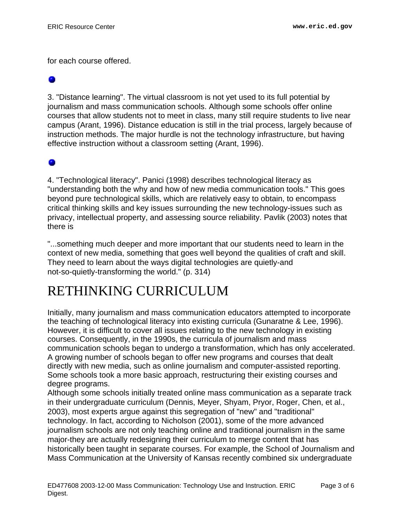for each course offered.

3. "Distance learning". The virtual classroom is not yet used to its full potential by journalism and mass communication schools. Although some schools offer online courses that allow students not to meet in class, many still require students to live near campus (Arant, 1996). Distance education is still in the trial process, largely because of instruction methods. The major hurdle is not the technology infrastructure, but having effective instruction without a classroom setting (Arant, 1996).

### ۰

4. "Technological literacy". Panici (1998) describes technological literacy as "understanding both the why and how of new media communication tools." This goes beyond pure technological skills, which are relatively easy to obtain, to encompass critical thinking skills and key issues surrounding the new technology-issues such as privacy, intellectual property, and assessing source reliability. Pavlik (2003) notes that there is

"...something much deeper and more important that our students need to learn in the context of new media, something that goes well beyond the qualities of craft and skill. They need to learn about the ways digital technologies are quietly-and not-so-quietly-transforming the world." (p. 314)

## <span id="page-2-0"></span>RETHINKING CURRICULUM

Initially, many journalism and mass communication educators attempted to incorporate the teaching of technological literacy into existing curricula (Gunaratne & Lee, 1996). However, it is difficult to cover all issues relating to the new technology in existing courses. Consequently, in the 1990s, the curricula of journalism and mass communication schools began to undergo a transformation, which has only accelerated. A growing number of schools began to offer new programs and courses that dealt directly with new media, such as online journalism and computer-assisted reporting. Some schools took a more basic approach, restructuring their existing courses and degree programs.

Although some schools initially treated online mass communication as a separate track in their undergraduate curriculum (Dennis, Meyer, Shyam, Pryor, Roger, Chen, et al., 2003), most experts argue against this segregation of "new" and "traditional" technology. In fact, according to Nicholson (2001), some of the more advanced journalism schools are not only teaching online and traditional journalism in the same major-they are actually redesigning their curriculum to merge content that has historically been taught in separate courses. For example, the School of Journalism and Mass Communication at the University of Kansas recently combined six undergraduate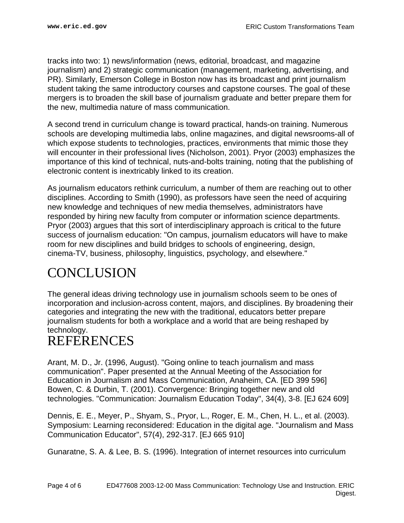tracks into two: 1) news/information (news, editorial, broadcast, and magazine journalism) and 2) strategic communication (management, marketing, advertising, and PR). Similarly, Emerson College in Boston now has its broadcast and print journalism student taking the same introductory courses and capstone courses. The goal of these mergers is to broaden the skill base of journalism graduate and better prepare them for the new, multimedia nature of mass communication.

A second trend in curriculum change is toward practical, hands-on training. Numerous schools are developing multimedia labs, online magazines, and digital newsrooms-all of which expose students to technologies, practices, environments that mimic those they will encounter in their professional lives (Nicholson, 2001). Pryor (2003) emphasizes the importance of this kind of technical, nuts-and-bolts training, noting that the publishing of electronic content is inextricably linked to its creation.

As journalism educators rethink curriculum, a number of them are reaching out to other disciplines. According to Smith (1990), as professors have seen the need of acquiring new knowledge and techniques of new media themselves, administrators have responded by hiring new faculty from computer or information science departments. Pryor (2003) argues that this sort of interdisciplinary approach is critical to the future success of journalism education: "On campus, journalism educators will have to make room for new disciplines and build bridges to schools of engineering, design, cinema-TV, business, philosophy, linguistics, psychology, and elsewhere."

## <span id="page-3-0"></span>**CONCLUSION**

The general ideas driving technology use in journalism schools seem to be ones of incorporation and inclusion-across content, majors, and disciplines. By broadening their categories and integrating the new with the traditional, educators better prepare journalism students for both a workplace and a world that are being reshaped by technology.

## <span id="page-3-1"></span>REFERENCES

Arant, M. D., Jr. (1996, August). "Going online to teach journalism and mass communication". Paper presented at the Annual Meeting of the Association for Education in Journalism and Mass Communication, Anaheim, CA. [ED 399 596] Bowen, C. & Durbin, T. (2001). Convergence: Bringing together new and old technologies. "Communication: Journalism Education Today", 34(4), 3-8. [EJ 624 609]

Dennis, E. E., Meyer, P., Shyam, S., Pryor, L., Roger, E. M., Chen, H. L., et al. (2003). Symposium: Learning reconsidered: Education in the digital age. "Journalism and Mass Communication Educator", 57(4), 292-317. [EJ 665 910]

Gunaratne, S. A. & Lee, B. S. (1996). Integration of internet resources into curriculum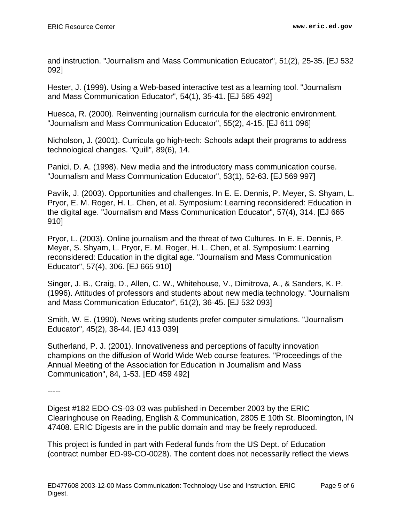and instruction. "Journalism and Mass Communication Educator", 51(2), 25-35. [EJ 532 092]

Hester, J. (1999). Using a Web-based interactive test as a learning tool. "Journalism and Mass Communication Educator", 54(1), 35-41. [EJ 585 492]

Huesca, R. (2000). Reinventing journalism curricula for the electronic environment. "Journalism and Mass Communication Educator", 55(2), 4-15. [EJ 611 096]

Nicholson, J. (2001). Curricula go high-tech: Schools adapt their programs to address technological changes. "Quill", 89(6), 14.

Panici, D. A. (1998). New media and the introductory mass communication course. "Journalism and Mass Communication Educator", 53(1), 52-63. [EJ 569 997]

Pavlik, J. (2003). Opportunities and challenges. In E. E. Dennis, P. Meyer, S. Shyam, L. Pryor, E. M. Roger, H. L. Chen, et al. Symposium: Learning reconsidered: Education in the digital age. "Journalism and Mass Communication Educator", 57(4), 314. [EJ 665 910]

Pryor, L. (2003). Online journalism and the threat of two Cultures. In E. E. Dennis, P. Meyer, S. Shyam, L. Pryor, E. M. Roger, H. L. Chen, et al. Symposium: Learning reconsidered: Education in the digital age. "Journalism and Mass Communication Educator", 57(4), 306. [EJ 665 910]

Singer, J. B., Craig, D., Allen, C. W., Whitehouse, V., Dimitrova, A., & Sanders, K. P. (1996). Attitudes of professors and students about new media technology. "Journalism and Mass Communication Educator", 51(2), 36-45. [EJ 532 093]

Smith, W. E. (1990). News writing students prefer computer simulations. "Journalism Educator", 45(2), 38-44. [EJ 413 039]

Sutherland, P. J. (2001). Innovativeness and perceptions of faculty innovation champions on the diffusion of World Wide Web course features. "Proceedings of the Annual Meeting of the Association for Education in Journalism and Mass Communication", 84, 1-53. [ED 459 492]

-----

Digest #182 EDO-CS-03-03 was published in December 2003 by the ERIC Clearinghouse on Reading, English & Communication, 2805 E 10th St. Bloomington, IN 47408. ERIC Digests are in the public domain and may be freely reproduced.

This project is funded in part with Federal funds from the US Dept. of Education (contract number ED-99-CO-0028). The content does not necessarily reflect the views